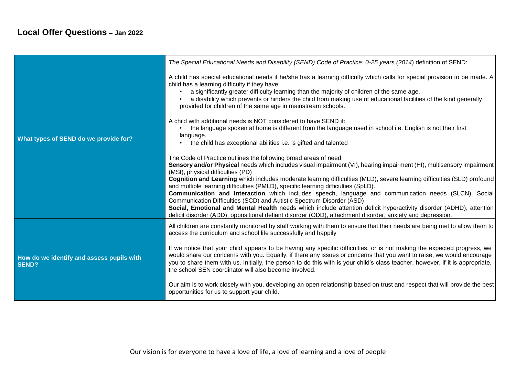## **Local Offer Questions – Jan 2022**

| What types of SEND do we provide for?                     | The Special Educational Needs and Disability (SEND) Code of Practice: 0-25 years (2014) definition of SEND:                                                                                                                                                                                                                                                                                                                                                                                                                                                                                                                                                                                                                                                                                                                                                         |
|-----------------------------------------------------------|---------------------------------------------------------------------------------------------------------------------------------------------------------------------------------------------------------------------------------------------------------------------------------------------------------------------------------------------------------------------------------------------------------------------------------------------------------------------------------------------------------------------------------------------------------------------------------------------------------------------------------------------------------------------------------------------------------------------------------------------------------------------------------------------------------------------------------------------------------------------|
|                                                           | A child has special educational needs if he/she has a learning difficulty which calls for special provision to be made. A<br>child has a learning difficulty if they have:<br>a significantly greater difficulty learning than the majority of children of the same age.<br>a disability which prevents or hinders the child from making use of educational facilities of the kind generally<br>provided for children of the same age in mainstream schools.                                                                                                                                                                                                                                                                                                                                                                                                        |
|                                                           | A child with additional needs is NOT considered to have SEND if:<br>the language spoken at home is different from the language used in school i.e. English is not their first<br>language.<br>the child has exceptional abilities i.e. is gifted and talented                                                                                                                                                                                                                                                                                                                                                                                                                                                                                                                                                                                                       |
|                                                           | The Code of Practice outlines the following broad areas of need:<br>Sensory and/or Physical needs which includes visual impairment (VI), hearing impairment (HI), multisensory impairment<br>(MSI), physical difficulties (PD)<br>Cognition and Learning which includes moderate learning difficulties (MLD), severe learning difficulties (SLD) profound<br>and multiple learning difficulties (PMLD), specific learning difficulties (SpLD).<br>Communication and Interaction which includes speech, language and communication needs (SLCN), Social<br>Communication Difficulties (SCD) and Autistic Spectrum Disorder (ASD).<br>Social, Emotional and Mental Health needs which include attention deficit hyperactivity disorder (ADHD), attention<br>deficit disorder (ADD), oppositional defiant disorder (ODD), attachment disorder, anxiety and depression. |
| How do we identify and assess pupils with<br><b>SEND?</b> | All children are constantly monitored by staff working with them to ensure that their needs are being met to allow them to<br>access the curriculum and school life successfully and happily                                                                                                                                                                                                                                                                                                                                                                                                                                                                                                                                                                                                                                                                        |
|                                                           | If we notice that your child appears to be having any specific difficulties, or is not making the expected progress, we<br>would share our concerns with you. Equally, if there any issues or concerns that you want to raise, we would encourage<br>you to share them with us. Initially, the person to do this with is your child's class teacher, however, if it is appropriate,<br>the school SEN coordinator will also become involved.                                                                                                                                                                                                                                                                                                                                                                                                                        |
|                                                           | Our aim is to work closely with you, developing an open relationship based on trust and respect that will provide the best<br>opportunities for us to support your child.                                                                                                                                                                                                                                                                                                                                                                                                                                                                                                                                                                                                                                                                                           |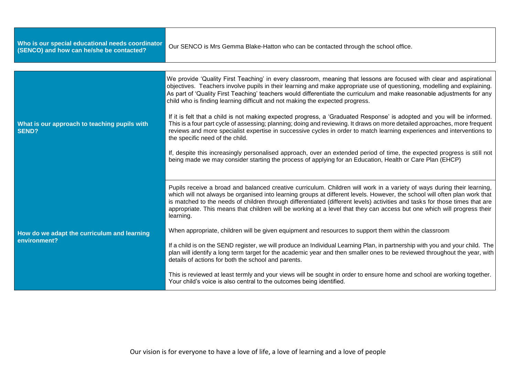| Who is our special educational needs coordinator<br>(SENCO) and how can he/she be contacted? | Our SENCO is Mrs Gemma Blake-Hatton who can be contacted through the school office.                                                                                                                                                                                                                                                                                                                                                                                                                                          |
|----------------------------------------------------------------------------------------------|------------------------------------------------------------------------------------------------------------------------------------------------------------------------------------------------------------------------------------------------------------------------------------------------------------------------------------------------------------------------------------------------------------------------------------------------------------------------------------------------------------------------------|
|                                                                                              |                                                                                                                                                                                                                                                                                                                                                                                                                                                                                                                              |
| What is our approach to teaching pupils with<br><b>SEND?</b>                                 | We provide 'Quality First Teaching' in every classroom, meaning that lessons are focused with clear and aspirational<br>objectives. Teachers involve pupils in their learning and make appropriate use of questioning, modelling and explaining.<br>As part of 'Quality First Teaching' teachers would differentiate the curriculum and make reasonable adjustments for any<br>child who is finding learning difficult and not making the expected progress.                                                                 |
|                                                                                              | If it is felt that a child is not making expected progress, a 'Graduated Response' is adopted and you will be informed.<br>This is a four part cycle of assessing; planning; doing and reviewing. It draws on more detailed approaches, more frequent<br>reviews and more specialist expertise in successive cycles in order to match learning experiences and interventions to<br>the specific need of the child.                                                                                                           |
|                                                                                              | If, despite this increasingly personalised approach, over an extended period of time, the expected progress is still not<br>being made we may consider starting the process of applying for an Education, Health or Care Plan (EHCP)                                                                                                                                                                                                                                                                                         |
| How do we adapt the curriculum and learning<br>environment?                                  | Pupils receive a broad and balanced creative curriculum. Children will work in a variety of ways during their learning,<br>which will not always be organised into learning groups at different levels. However, the school will often plan work that<br>is matched to the needs of children through differentiated (different levels) activities and tasks for those times that are<br>appropriate. This means that children will be working at a level that they can access but one which will progress their<br>learning. |
|                                                                                              | When appropriate, children will be given equipment and resources to support them within the classroom                                                                                                                                                                                                                                                                                                                                                                                                                        |
|                                                                                              | If a child is on the SEND register, we will produce an Individual Learning Plan, in partnership with you and your child. The<br>plan will identify a long term target for the academic year and then smaller ones to be reviewed throughout the year, with<br>details of actions for both the school and parents.                                                                                                                                                                                                            |
|                                                                                              | This is reviewed at least termly and your views will be sought in order to ensure home and school are working together.<br>Your child's voice is also central to the outcomes being identified.                                                                                                                                                                                                                                                                                                                              |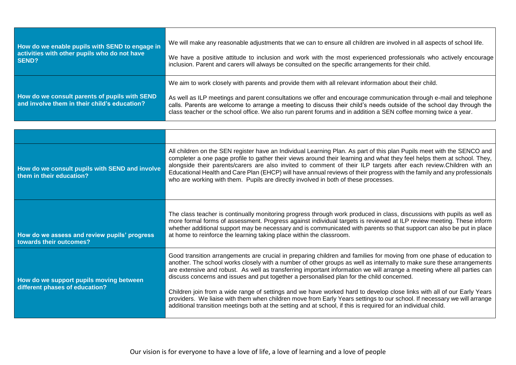| How do we enable pupils with SEND to engage in                                                | We will make any reasonable adjustments that we can to ensure all children are involved in all aspects of school life.                                                                                                                                                                                                                                                                                                                                                  |
|-----------------------------------------------------------------------------------------------|-------------------------------------------------------------------------------------------------------------------------------------------------------------------------------------------------------------------------------------------------------------------------------------------------------------------------------------------------------------------------------------------------------------------------------------------------------------------------|
| activities with other pupils who do not have                                                  | We have a positive attitude to inclusion and work with the most experienced professionals who actively encourage                                                                                                                                                                                                                                                                                                                                                        |
| SEND?                                                                                         | inclusion. Parent and carers will always be consulted on the specific arrangements for their child.                                                                                                                                                                                                                                                                                                                                                                     |
| How do we consult parents of pupils with SEND<br>and involve them in their child's education? | We aim to work closely with parents and provide them with all relevant information about their child.<br>As well as ILP meetings and parent consultations we offer and encourage communication through e-mail and telephone<br>calls. Parents are welcome to arrange a meeting to discuss their child's needs outside of the school day through the<br>class teacher or the school office. We also run parent forums and in addition a SEN coffee morning twice a year. |

| How do we consult pupils with SEND and involve<br>them in their education? | All children on the SEN register have an Individual Learning Plan. As part of this plan Pupils meet with the SENCO and<br>completer a one page profile to gather their views around their learning and what they feel helps them at school. They,<br>alongside their parents/carers are also invited to comment of their ILP targets after each review.Children with an<br>Educational Health and Care Plan (EHCP) will have annual reviews of their progress with the family and any professionals<br>who are working with them. Pupils are directly involved in both of these processes.                                                                                                                                                                                                                                                    |
|----------------------------------------------------------------------------|-----------------------------------------------------------------------------------------------------------------------------------------------------------------------------------------------------------------------------------------------------------------------------------------------------------------------------------------------------------------------------------------------------------------------------------------------------------------------------------------------------------------------------------------------------------------------------------------------------------------------------------------------------------------------------------------------------------------------------------------------------------------------------------------------------------------------------------------------|
| How do we assess and review pupils' progress<br>towards their outcomes?    | The class teacher is continually monitoring progress through work produced in class, discussions with pupils as well as<br>more formal forms of assessment. Progress against individual targets is reviewed at ILP review meeting. These inform<br>whether additional support may be necessary and is communicated with parents so that support can also be put in place<br>at home to reinforce the learning taking place within the classroom.                                                                                                                                                                                                                                                                                                                                                                                              |
| How do we support pupils moving between<br>different phases of education?  | Good transition arrangements are crucial in preparing children and families for moving from one phase of education to<br>another. The school works closely with a number of other groups as well as internally to make sure these arrangements<br>are extensive and robust. As well as transferring important information we will arrange a meeting where all parties can<br>discuss concerns and issues and put together a personalised plan for the child concerned.<br>Children join from a wide range of settings and we have worked hard to develop close links with all of our Early Years<br>providers. We liaise with them when children move from Early Years settings to our school. If necessary we will arrange<br>additional transition meetings both at the setting and at school, if this is required for an individual child. |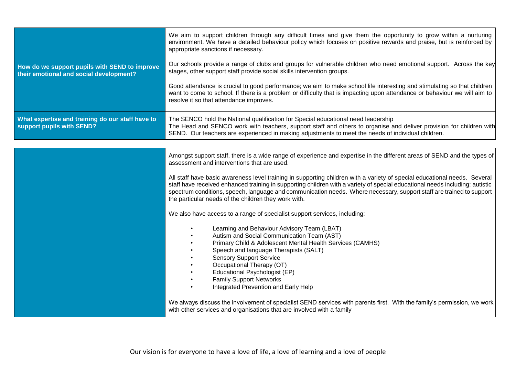| How do we support pupils with SEND to improve<br>their emotional and social development? | We aim to support children through any difficult times and give them the opportunity to grow within a nurturing<br>environment. We have a detailed behaviour policy which focuses on positive rewards and praise, but is reinforced by<br>appropriate sanctions if necessary.<br>Our schools provide a range of clubs and groups for vulnerable children who need emotional support. Across the key<br>stages, other support staff provide social skills intervention groups.<br>Good attendance is crucial to good performance; we aim to make school life interesting and stimulating so that children<br>want to come to school. If there is a problem or difficulty that is impacting upon attendance or behaviour we will aim to<br>resolve it so that attendance improves. |
|------------------------------------------------------------------------------------------|----------------------------------------------------------------------------------------------------------------------------------------------------------------------------------------------------------------------------------------------------------------------------------------------------------------------------------------------------------------------------------------------------------------------------------------------------------------------------------------------------------------------------------------------------------------------------------------------------------------------------------------------------------------------------------------------------------------------------------------------------------------------------------|
|                                                                                          |                                                                                                                                                                                                                                                                                                                                                                                                                                                                                                                                                                                                                                                                                                                                                                                  |
| What expertise and training do our staff have to<br>support pupils with SEND?            | The SENCO hold the National qualification for Special educational need leadership<br>The Head and SENCO work with teachers, support staff and others to organise and deliver provision for children with<br>SEND. Our teachers are experienced in making adjustments to meet the needs of individual children.                                                                                                                                                                                                                                                                                                                                                                                                                                                                   |
|                                                                                          |                                                                                                                                                                                                                                                                                                                                                                                                                                                                                                                                                                                                                                                                                                                                                                                  |
|                                                                                          | Amongst support staff, there is a wide range of experience and expertise in the different areas of SEND and the types of<br>assessment and interventions that are used.                                                                                                                                                                                                                                                                                                                                                                                                                                                                                                                                                                                                          |
|                                                                                          | All staff have basic awareness level training in supporting children with a variety of special educational needs. Several<br>staff have received enhanced training in supporting children with a variety of special educational needs including: autistic<br>spectrum conditions, speech, language and communication needs. Where necessary, support staff are trained to support<br>the particular needs of the children they work with.                                                                                                                                                                                                                                                                                                                                        |
|                                                                                          | We also have access to a range of specialist support services, including:                                                                                                                                                                                                                                                                                                                                                                                                                                                                                                                                                                                                                                                                                                        |
|                                                                                          | Learning and Behaviour Advisory Team (LBAT)<br>Autism and Social Communication Team (AST)<br>Primary Child & Adolescent Mental Health Services (CAMHS)<br>Speech and language Therapists (SALT)<br><b>Sensory Support Service</b><br>Occupational Therapy (OT)<br>Educational Psychologist (EP)<br><b>Family Support Networks</b><br>Integrated Prevention and Early Help                                                                                                                                                                                                                                                                                                                                                                                                        |
|                                                                                          | We always discuss the involvement of specialist SEND services with parents first. With the family's permission, we work<br>with other services and organisations that are involved with a family                                                                                                                                                                                                                                                                                                                                                                                                                                                                                                                                                                                 |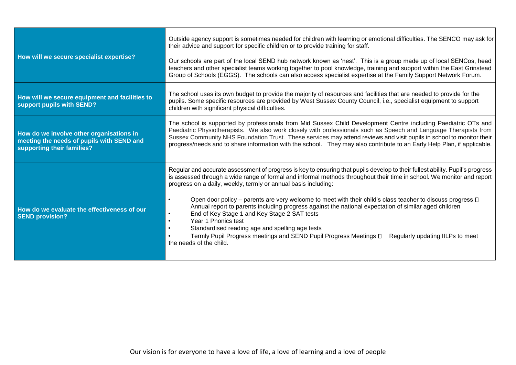| How will we secure specialist expertise?                                                                            | Outside agency support is sometimes needed for children with learning or emotional difficulties. The SENCO may ask for<br>their advice and support for specific children or to provide training for staff.<br>Our schools are part of the local SEND hub network known as 'nest'. This is a group made up of local SENCos, head<br>teachers and other specialist teams working together to pool knowledge, training and support within the East Grinstead<br>Group of Schools (EGGS). The schools can also access specialist expertise at the Family Support Network Forum.                                                                                                                                                                                                                                         |
|---------------------------------------------------------------------------------------------------------------------|---------------------------------------------------------------------------------------------------------------------------------------------------------------------------------------------------------------------------------------------------------------------------------------------------------------------------------------------------------------------------------------------------------------------------------------------------------------------------------------------------------------------------------------------------------------------------------------------------------------------------------------------------------------------------------------------------------------------------------------------------------------------------------------------------------------------|
| How will we secure equipment and facilities to<br>support pupils with SEND?                                         | The school uses its own budget to provide the majority of resources and facilities that are needed to provide for the<br>pupils. Some specific resources are provided by West Sussex County Council, i.e., specialist equipment to support<br>children with significant physical difficulties.                                                                                                                                                                                                                                                                                                                                                                                                                                                                                                                      |
| How do we involve other organisations in<br>meeting the needs of pupils with SEND and<br>supporting their families? | The school is supported by professionals from Mid Sussex Child Development Centre including Paediatric OTs and<br>Paediatric Physiotherapists. We also work closely with professionals such as Speech and Language Therapists from<br>Sussex Community NHS Foundation Trust. These services may attend reviews and visit pupils in school to monitor their<br>progress/needs and to share information with the school. They may also contribute to an Early Help Plan, if applicable.                                                                                                                                                                                                                                                                                                                               |
| How do we evaluate the effectiveness of our<br><b>SEND provision?</b>                                               | Regular and accurate assessment of progress is key to ensuring that pupils develop to their fullest ability. Pupil's progress<br>is assessed through a wide range of formal and informal methods throughout their time in school. We monitor and report<br>progress on a daily, weekly, termly or annual basis including:<br>Open door policy – parents are very welcome to meet with their child's class teacher to discuss progress $\Box$<br>Annual report to parents including progress against the national expectation of similar aged children<br>End of Key Stage 1 and Key Stage 2 SAT tests<br>Year 1 Phonics test<br>Standardised reading age and spelling age tests<br>Termly Pupil Progress meetings and SEND Pupil Progress Meetings D<br>Regularly updating IILPs to meet<br>the needs of the child. |